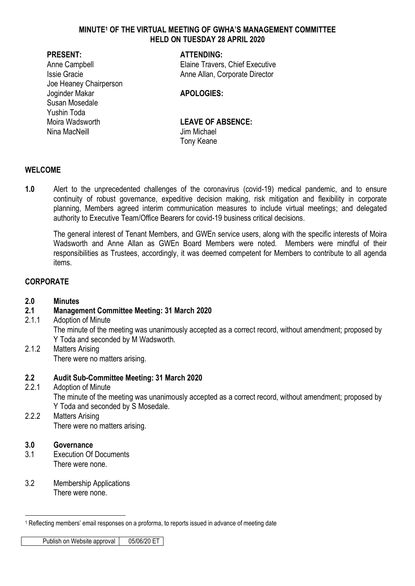### **MINUTE<sup>1</sup> OF THE VIRTUAL MEETING OF GWHA'S MANAGEMENT COMMITTEE HELD ON TUESDAY 28 APRIL 2020**

Joe Heaney Chairperson Joginder Makar **APOLOGIES:** Susan Mosedale Yushin Toda Moira Wadsworth **LEAVE OF ABSENCE:**  Nina MacNeill **Ning MacNeill** Jim Michael

### **PRESENT: ATTENDING:**

Anne Campbell **Elaine Travers, Chief Executive Issie Gracie Anne Allan, Corporate Director** 

Tony Keane

### **WELCOME**

**1.0** Alert to the unprecedented challenges of the coronavirus (covid-19) medical pandemic, and to ensure continuity of robust governance, expeditive decision making, risk mitigation and flexibility in corporate planning, Members agreed interim communication measures to include virtual meetings; and delegated authority to Executive Team/Office Bearers for covid-19 business critical decisions.

The general interest of Tenant Members, and GWEn service users, along with the specific interests of Moira Wadsworth and Anne Allan as GWEn Board Members were noted. Members were mindful of their responsibilities as Trustees, accordingly, it was deemed competent for Members to contribute to all agenda items.

# **CORPORATE**

### **2.0 Minutes**

## **2.1 Management Committee Meeting: 31 March 2020**

- 2.1.1 Adoption of Minute The minute of the meeting was unanimously accepted as a correct record, without amendment; proposed by Y Toda and seconded by M Wadsworth.
- 2.1.2 Matters Arising There were no matters arising.

### **2.2 Audit Sub-Committee Meeting: 31 March 2020**

- 2.2.1 Adoption of Minute The minute of the meeting was unanimously accepted as a correct record, without amendment; proposed by Y Toda and seconded by S Mosedale.
- 2.2.2 Matters Arising There were no matters arising.

## **3.0 Governance**

- 3.1 Execution Of Documents There were none.
- 3.2 Membership Applications There were none.

Publish on Website approval | 05/06/20 ET

<sup>&</sup>lt;u>.</u> <sup>1</sup> Reflecting members' email responses on a proforma, to reports issued in advance of meeting date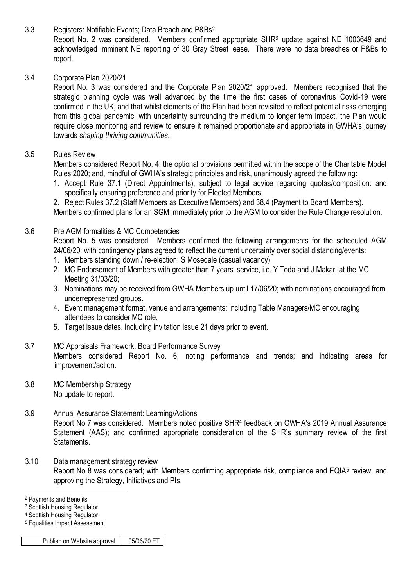3.3 Registers: Notifiable Events; Data Breach and P&Bs<sup>2</sup>

Report No. 2 was considered. Members confirmed appropriate SHR<sup>3</sup> update against NE 1003649 and acknowledged imminent NE reporting of 30 Gray Street lease. There were no data breaches or P&Bs to report.

# 3.4 Corporate Plan 2020/21

Report No. 3 was considered and the Corporate Plan 2020/21 approved. Members recognised that the strategic planning cycle was well advanced by the time the first cases of coronavirus Covid-19 were confirmed in the UK, and that whilst elements of the Plan had been revisited to reflect potential risks emerging from this global pandemic; with uncertainty surrounding the medium to longer term impact, the Plan would require close monitoring and review to ensure it remained proportionate and appropriate in GWHA's journey towards *shaping thriving communities*.

# 3.5 Rules Review

Members considered Report No. 4: the optional provisions permitted within the scope of the Charitable Model Rules 2020; and, mindful of GWHA's strategic principles and risk, unanimously agreed the following:

1. Accept Rule 37.1 (Direct Appointments), subject to legal advice regarding quotas/composition: and specifically ensuring preference and priority for Elected Members.

2. Reject Rules 37.2 (Staff Members as Executive Members) and 38.4 (Payment to Board Members). Members confirmed plans for an SGM immediately prior to the AGM to consider the Rule Change resolution.

# 3.6 Pre AGM formalities & MC Competencies

Report No. 5 was considered. Members confirmed the following arrangements for the scheduled AGM 24/06/20; with contingency plans agreed to reflect the current uncertainty over social distancing/events:

- 1. Members standing down / re-election: S Mosedale (casual vacancy)
- 2. MC Endorsement of Members with greater than 7 years' service, i.e. Y Toda and J Makar, at the MC Meeting 31/03/20;
- 3. Nominations may be received from GWHA Members up until 17/06/20; with nominations encouraged from underrepresented groups.
- 4. Event management format, venue and arrangements: including Table Managers/MC encouraging attendees to consider MC role.
- 5. Target issue dates, including invitation issue 21 days prior to event.
- 3.7 MC Appraisals Framework: Board Performance Survey Members considered Report No. 6, noting performance and trends; and indicating areas for improvement/action.
- 3.8 MC Membership Strategy No update to report.
- 3.9 Annual Assurance Statement: Learning/Actions Report No 7 was considered. Members noted positive SHR<sup>4</sup> feedback on GWHA's 2019 Annual Assurance Statement (AAS); and confirmed appropriate consideration of the SHR's summary review of the first Statements.
- 3.10 Data management strategy review Report No 8 was considered; with Members confirming appropriate risk, compliance and EQIA<sup>5</sup> review, and approving the Strategy, Initiatives and PIs.

<u>.</u>

<sup>5</sup> Equalities Impact Assessment

<sup>2</sup> Payments and Benefits

<sup>3</sup> Scottish Housing Regulator

<sup>4</sup> Scottish Housing Regulator